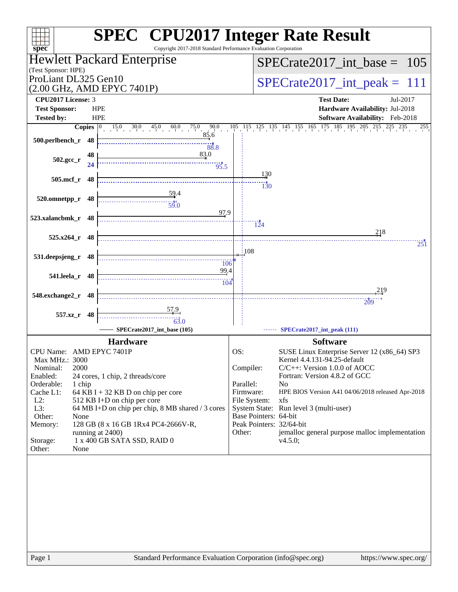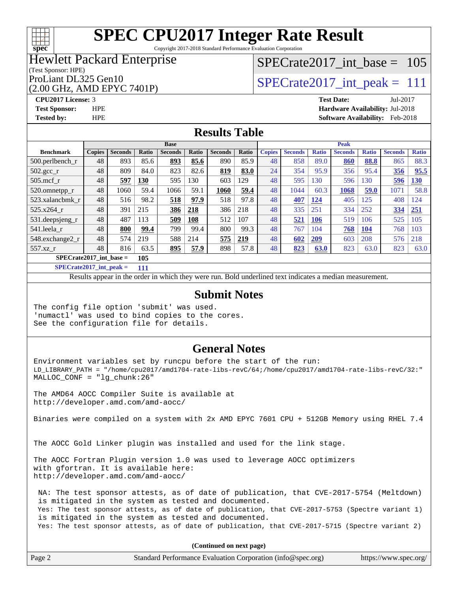# **[spec](http://www.spec.org/)**

# **[SPEC CPU2017 Integer Rate Result](http://www.spec.org/auto/cpu2017/Docs/result-fields.html#SPECCPU2017IntegerRateResult)**

Copyright 2017-2018 Standard Performance Evaluation Corporation

#### Hewlett Packard Enterprise

#### (Test Sponsor: HPE)

### (2.00 GHz, AMD EPYC 7401P)

[SPECrate2017\\_int\\_base =](http://www.spec.org/auto/cpu2017/Docs/result-fields.html#SPECrate2017intbase) 105

# ProLiant DL325 Gen10  $\text{SPECrate2017\_int\_peak} = 111$

**[CPU2017 License:](http://www.spec.org/auto/cpu2017/Docs/result-fields.html#CPU2017License)** 3 **[Test Date:](http://www.spec.org/auto/cpu2017/Docs/result-fields.html#TestDate)** Jul-2017 **[Test Sponsor:](http://www.spec.org/auto/cpu2017/Docs/result-fields.html#TestSponsor)** HPE **[Hardware Availability:](http://www.spec.org/auto/cpu2017/Docs/result-fields.html#HardwareAvailability)** Jul-2018 **[Tested by:](http://www.spec.org/auto/cpu2017/Docs/result-fields.html#Testedby)** HPE **[Software Availability:](http://www.spec.org/auto/cpu2017/Docs/result-fields.html#SoftwareAvailability)** Feb-2018

#### **[Results Table](http://www.spec.org/auto/cpu2017/Docs/result-fields.html#ResultsTable)**

|                           | <b>Base</b>   |                |       |                |       |                | <b>Peak</b> |               |                |              |                |              |                |              |
|---------------------------|---------------|----------------|-------|----------------|-------|----------------|-------------|---------------|----------------|--------------|----------------|--------------|----------------|--------------|
| <b>Benchmark</b>          | <b>Copies</b> | <b>Seconds</b> | Ratio | <b>Seconds</b> | Ratio | <b>Seconds</b> | Ratio       | <b>Copies</b> | <b>Seconds</b> | <b>Ratio</b> | <b>Seconds</b> | <b>Ratio</b> | <b>Seconds</b> | <b>Ratio</b> |
| $500.$ perlbench_r        | 48            | 893            | 85.6  | 893            | 85.6  | 890            | 85.9        | 48            | 858            | 89.0         | 860            | 88.8         | 865            | 88.3         |
| $502.\text{gcc}_{r}$      | 48            | 809            | 84.0  | 823            | 82.6  | 819            | 83.0        | 24            | 354            | 95.9         | 356            | 95.4         | 356            | 95.5         |
| $505$ .mcf r              | 48            | 597            | 130   | 595            | 130   | 603            | 129         | 48            | 595            | 130          | 596            | 130          | 596            | 130          |
| 520.omnetpp_r             | 48            | 1060           | 59.4  | 1066           | 59.1  | 1060           | 59.4        | 48            | 1044           | 60.3         | 1068           | 59.0         | 1071           | 58.8         |
| 523.xalancbmk r           | 48            | 516            | 98.2  | 518            | 97.9  | 518            | 97.8        | 48            | 407            | 124          | 405            | 125          | 408            | $\sqrt{24}$  |
| 525.x264 r                | 48            | 391            | 215   | 386            | 218   | 386            | 218         | 48            | 335            | 251          | 334            | 252          | 334            | 251          |
| 531.deepsjeng_r           | 48            | 487            | 113   | 509            | 108   | 512            | 107         | 48            | 521            | 106          | 519            | 106          | 525            | 105          |
| 541.leela r               | 48            | 800            | 99.4  | 799            | 99.4  | 800            | 99.3        | 48            | 767            | 104          | 768            | 104          | 768            | 103          |
| 548.exchange2_r           | 48            | 574            | 219   | 588            | 214   | 575            | 219         | 48            | 602            | 209          | 603            | 208          | 576            | 218          |
| 557.xz r                  | 48            | 816            | 63.5  | 895            | 57.9  | 898            | 57.8        | 48            | 823            | 63.0         | 823            | 63.0         | 823            | 63.0         |
| $SPECrate2017$ int base = |               |                | 105   |                |       |                |             |               |                |              |                |              |                |              |

**[SPECrate2017\\_int\\_peak =](http://www.spec.org/auto/cpu2017/Docs/result-fields.html#SPECrate2017intpeak) 111**

Results appear in the [order in which they were run.](http://www.spec.org/auto/cpu2017/Docs/result-fields.html#RunOrder) Bold underlined text [indicates a median measurement.](http://www.spec.org/auto/cpu2017/Docs/result-fields.html#Median)

#### **[Submit Notes](http://www.spec.org/auto/cpu2017/Docs/result-fields.html#SubmitNotes)**

The config file option 'submit' was used. 'numactl' was used to bind copies to the cores. See the configuration file for details.

#### **[General Notes](http://www.spec.org/auto/cpu2017/Docs/result-fields.html#GeneralNotes)**

Environment variables set by runcpu before the start of the run: LD\_LIBRARY\_PATH = "/home/cpu2017/amd1704-rate-libs-revC/64;/home/cpu2017/amd1704-rate-libs-revC/32:" MALLOC\_CONF = "lg\_chunk:26"

The AMD64 AOCC Compiler Suite is available at <http://developer.amd.com/amd-aocc/>

Binaries were compiled on a system with 2x AMD EPYC 7601 CPU + 512GB Memory using RHEL 7.4

The AOCC Gold Linker plugin was installed and used for the link stage.

The AOCC Fortran Plugin version 1.0 was used to leverage AOCC optimizers with gfortran. It is available here: <http://developer.amd.com/amd-aocc/>

 NA: The test sponsor attests, as of date of publication, that CVE-2017-5754 (Meltdown) is mitigated in the system as tested and documented. Yes: The test sponsor attests, as of date of publication, that CVE-2017-5753 (Spectre variant 1) is mitigated in the system as tested and documented. Yes: The test sponsor attests, as of date of publication, that CVE-2017-5715 (Spectre variant 2)

**(Continued on next page)**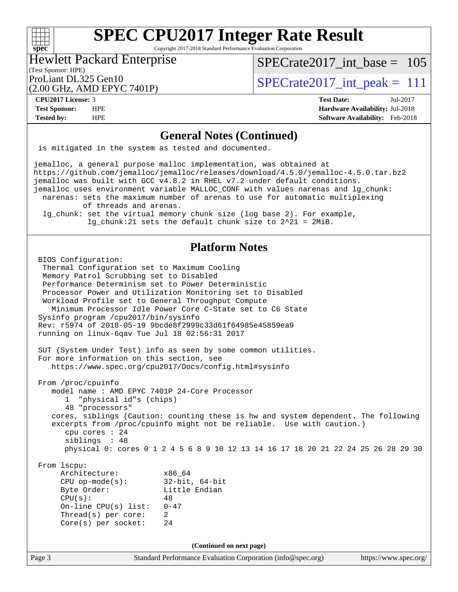#### $+\!\!+\!\!$ **[spec](http://www.spec.org/)**

# **[SPEC CPU2017 Integer Rate Result](http://www.spec.org/auto/cpu2017/Docs/result-fields.html#SPECCPU2017IntegerRateResult)**

Copyright 2017-2018 Standard Performance Evaluation Corporation

### Hewlett Packard Enterprise

(Test Sponsor: HPE)

ProLiant DL325 Gen10  $\text{SPECrate2017\_int\_peak} = 111$ [SPECrate2017\\_int\\_base =](http://www.spec.org/auto/cpu2017/Docs/result-fields.html#SPECrate2017intbase) 105

### (2.00 GHz, AMD EPYC 7401P)

**[CPU2017 License:](http://www.spec.org/auto/cpu2017/Docs/result-fields.html#CPU2017License)** 3 **[Test Date:](http://www.spec.org/auto/cpu2017/Docs/result-fields.html#TestDate)** Jul-2017 **[Test Sponsor:](http://www.spec.org/auto/cpu2017/Docs/result-fields.html#TestSponsor)** HPE **[Hardware Availability:](http://www.spec.org/auto/cpu2017/Docs/result-fields.html#HardwareAvailability)** Jul-2018

**[Tested by:](http://www.spec.org/auto/cpu2017/Docs/result-fields.html#Testedby)** HPE **[Software Availability:](http://www.spec.org/auto/cpu2017/Docs/result-fields.html#SoftwareAvailability)** Feb-2018

# **[General Notes \(Continued\)](http://www.spec.org/auto/cpu2017/Docs/result-fields.html#GeneralNotes)**

is mitigated in the system as tested and documented.

jemalloc, a general purpose malloc implementation, was obtained at <https://github.com/jemalloc/jemalloc/releases/download/4.5.0/jemalloc-4.5.0.tar.bz2> jemalloc was built with GCC v4.8.2 in RHEL v7.2 under default conditions. jemalloc uses environment variable MALLOC\_CONF with values narenas and lg\_chunk: narenas: sets the maximum number of arenas to use for automatic multiplexing of threads and arenas. lg\_chunk: set the virtual memory chunk size (log base 2). For example, lg\_chunk:21 sets the default chunk size to 2^21 = 2MiB.

#### **[Platform Notes](http://www.spec.org/auto/cpu2017/Docs/result-fields.html#PlatformNotes)**

```
Page 3 Standard Performance Evaluation Corporation (info@spec.org) https://www.spec.org/
  BIOS Configuration:
   Thermal Configuration set to Maximum Cooling
   Memory Patrol Scrubbing set to Disabled
   Performance Determinism set to Power Deterministic
   Processor Power and Utilization Monitoring set to Disabled
   Workload Profile set to General Throughput Compute
     Minimum Processor Idle Power Core C-State set to C6 State
  Sysinfo program /cpu2017/bin/sysinfo
  Rev: r5974 of 2018-05-19 9bcde8f2999c33d61f64985e45859ea9
  running on linux-6qav Tue Jul 18 02:56:31 2017
  SUT (System Under Test) info as seen by some common utilities.
  For more information on this section, see
     https://www.spec.org/cpu2017/Docs/config.html#sysinfo
  From /proc/cpuinfo
     model name : AMD EPYC 7401P 24-Core Processor
        1 "physical id"s (chips)
        48 "processors"
     cores, siblings (Caution: counting these is hw and system dependent. The following
     excerpts from /proc/cpuinfo might not be reliable. Use with caution.)
        cpu cores : 24
        siblings : 48
        physical 0: cores 0 1 2 4 5 6 8 9 10 12 13 14 16 17 18 20 21 22 24 25 26 28 29 30
  From lscpu:
      Architecture: x86_64
       CPU op-mode(s): 32-bit, 64-bit
      Byte Order: Little Endian
      CPU(s): 48
       On-line CPU(s) list: 0-47
      Thread(s) per core: 2
       Core(s) per socket: 24
                                   (Continued on next page)
```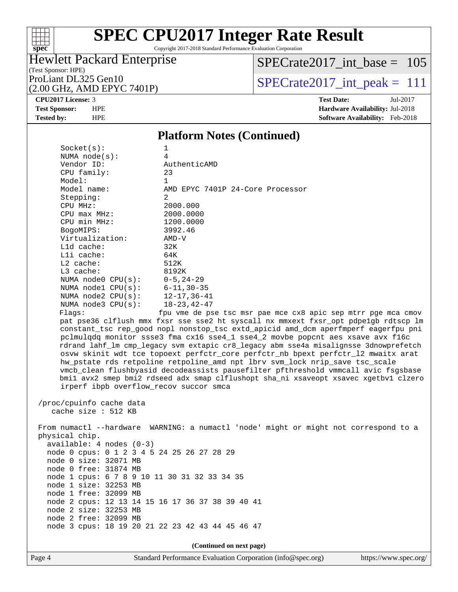#### $\pm\pm\prime$ **[spec](http://www.spec.org/)**

# **[SPEC CPU2017 Integer Rate Result](http://www.spec.org/auto/cpu2017/Docs/result-fields.html#SPECCPU2017IntegerRateResult)**

Copyright 2017-2018 Standard Performance Evaluation Corporation

### Hewlett Packard Enterprise

[SPECrate2017\\_int\\_base =](http://www.spec.org/auto/cpu2017/Docs/result-fields.html#SPECrate2017intbase) 105

(Test Sponsor: HPE)

(2.00 GHz, AMD EPYC 7401P)

ProLiant DL325 Gen10<br>(2.00 GHz, AMD EPYC 7401P)  $\qquad$  [SPECrate2017\\_int\\_peak =](http://www.spec.org/auto/cpu2017/Docs/result-fields.html#SPECrate2017intpeak) 111

**[CPU2017 License:](http://www.spec.org/auto/cpu2017/Docs/result-fields.html#CPU2017License)** 3 **[Test Date:](http://www.spec.org/auto/cpu2017/Docs/result-fields.html#TestDate)** Jul-2017 **[Test Sponsor:](http://www.spec.org/auto/cpu2017/Docs/result-fields.html#TestSponsor)** HPE **[Hardware Availability:](http://www.spec.org/auto/cpu2017/Docs/result-fields.html#HardwareAvailability)** Jul-2018 **[Tested by:](http://www.spec.org/auto/cpu2017/Docs/result-fields.html#Testedby)** HPE **[Software Availability:](http://www.spec.org/auto/cpu2017/Docs/result-fields.html#SoftwareAvailability)** Feb-2018

#### **[Platform Notes \(Continued\)](http://www.spec.org/auto/cpu2017/Docs/result-fields.html#PlatformNotes)**

| Socket(s):                       | 1                                                                                    |
|----------------------------------|--------------------------------------------------------------------------------------|
| NUMA $node(s):$                  | 4                                                                                    |
| Vendor ID:                       | AuthenticAMD                                                                         |
| CPU family:                      | 23                                                                                   |
| Model:                           | 1                                                                                    |
| Model name:                      | AMD EPYC 7401P 24-Core Processor                                                     |
| Stepping:                        | $\mathfrak{D}$                                                                       |
| CPU MHz:                         | 2000.000                                                                             |
| CPU max MHz:                     | 2000.0000                                                                            |
| CPU min MHz:                     | 1200.0000                                                                            |
| BogoMIPS:                        | 3992.46                                                                              |
| Virtualization:                  | AMD-V                                                                                |
| $L1d$ cache:                     | 32K                                                                                  |
| Lli cache:                       | 64K                                                                                  |
| $L2$ cache:                      | 512K                                                                                 |
| $L3$ cache:                      | 8192K                                                                                |
| NUMA node0 $CPU(s): 0-5, 24-29$  |                                                                                      |
| NUMA nodel $CPU(s): 6-11, 30-35$ |                                                                                      |
| NUMA node2 CPU(s): 12-17,36-41   |                                                                                      |
| NUMA $node3$ $CPU(s):$           | 18-23,42-47                                                                          |
| Flaqs:                           | fpu yme de pse tsc msr pae mce cx8 apic sep mtrr pge mca cmov                        |
|                                  | pat pse36 clflush mmx fxsr sse sse2 ht syscall nx mmxext fxsr opt pdpelgb rdtscp lm  |
|                                  | constant tsc rep good nopl nonstop tsc extd apicid amd dcm aperfmperf eagerfpu pni   |
|                                  | pclmulgdg monitor ssse3 fma cx16 sse4_1 sse4_2 movbe popcnt aes xsave avx f16c       |
|                                  | rdrand lahf_lm cmp_legacy svm extapic cr8_legacy abm sse4a misalignsse 3dnowprefetch |
|                                  | osvw skinit wdt tce topoext perfctr_core perfctr_nb bpext perfctr_12 mwaitx arat     |
|                                  | hw_pstate rds retpoline retpoline_amd npt lbrv svm_lock nrip_save tsc_scale          |
|                                  | vmcb_clean flushbyasid decodeassists pausefilter pfthreshold vmmcall avic fsgsbase   |
|                                  | bmil avx2 smep bmi2 rdseed adx smap clflushopt sha_ni xsaveopt xsavec xgetbvl clzero |

 /proc/cpuinfo cache data cache size : 512 KB

 From numactl --hardware WARNING: a numactl 'node' might or might not correspond to a physical chip. available: 4 nodes (0-3) node 0 cpus: 0 1 2 3 4 5 24 25 26 27 28 29 node 0 size: 32071 MB node 0 free: 31874 MB node 1 cpus: 6 7 8 9 10 11 30 31 32 33 34 35 node 1 size: 32253 MB node 1 free: 32099 MB node 2 cpus: 12 13 14 15 16 17 36 37 38 39 40 41 node 2 size: 32253 MB

 node 2 free: 32099 MB node 3 cpus: 18 19 20 21 22 23 42 43 44 45 46 47

irperf ibpb overflow\_recov succor smca

**(Continued on next page)**

Page 4 Standard Performance Evaluation Corporation [\(info@spec.org\)](mailto:info@spec.org) <https://www.spec.org/>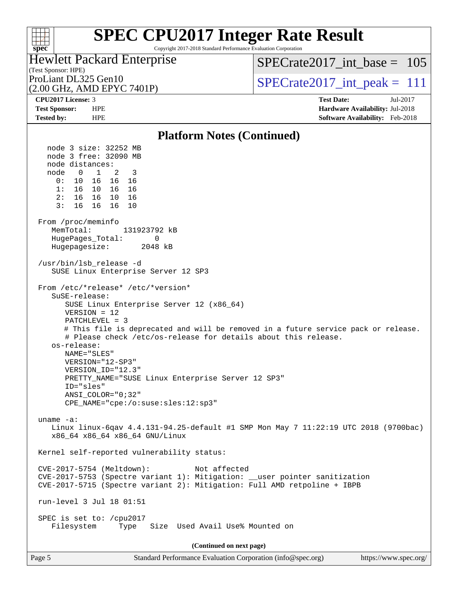#### $+\ +$ **[spec](http://www.spec.org/)**

# **[SPEC CPU2017 Integer Rate Result](http://www.spec.org/auto/cpu2017/Docs/result-fields.html#SPECCPU2017IntegerRateResult)**

Copyright 2017-2018 Standard Performance Evaluation Corporation

#### (Test Sponsor: HPE) Hewlett Packard Enterprise

[SPECrate2017\\_int\\_base =](http://www.spec.org/auto/cpu2017/Docs/result-fields.html#SPECrate2017intbase) 105

(2.00 GHz, AMD EPYC 7401P)

ProLiant DL325 Gen10<br>  $\text{SPECrate2017\_int\_peak} = 111$ 

**[CPU2017 License:](http://www.spec.org/auto/cpu2017/Docs/result-fields.html#CPU2017License)** 3 **[Test Date:](http://www.spec.org/auto/cpu2017/Docs/result-fields.html#TestDate)** Jul-2017 **[Test Sponsor:](http://www.spec.org/auto/cpu2017/Docs/result-fields.html#TestSponsor)** HPE **[Hardware Availability:](http://www.spec.org/auto/cpu2017/Docs/result-fields.html#HardwareAvailability)** Jul-2018 **[Tested by:](http://www.spec.org/auto/cpu2017/Docs/result-fields.html#Testedby)** HPE **[Software Availability:](http://www.spec.org/auto/cpu2017/Docs/result-fields.html#SoftwareAvailability)** Feb-2018

#### **[Platform Notes \(Continued\)](http://www.spec.org/auto/cpu2017/Docs/result-fields.html#PlatformNotes)** node 3 size: 32252 MB node 3 free: 32090 MB node distances: node 0 1 2 3 0: 10 16 16 16 1: 16 10 16 16 2: 16 16 10 16 3: 16 16 16 10 From /proc/meminfo MemTotal: 131923792 kB HugePages Total: 0 Hugepagesize: 2048 kB /usr/bin/lsb\_release -d SUSE Linux Enterprise Server 12 SP3 From /etc/\*release\* /etc/\*version\* SuSE-release: SUSE Linux Enterprise Server 12 (x86\_64) VERSION = 12 PATCHLEVEL = 3 # This file is deprecated and will be removed in a future service pack or release. # Please check /etc/os-release for details about this release. os-release: NAME="SLES" VERSION="12-SP3" VERSION\_ID="12.3" PRETTY\_NAME="SUSE Linux Enterprise Server 12 SP3" ID="sles" ANSI\_COLOR="0;32" CPE\_NAME="cpe:/o:suse:sles:12:sp3" uname -a: Linux linux-6qav 4.4.131-94.25-default #1 SMP Mon May 7 11:22:19 UTC 2018 (9700bac) x86\_64 x86\_64 x86\_64 GNU/Linux Kernel self-reported vulnerability status: CVE-2017-5754 (Meltdown): Not affected CVE-2017-5753 (Spectre variant 1): Mitigation: \_\_user pointer sanitization CVE-2017-5715 (Spectre variant 2): Mitigation: Full AMD retpoline + IBPB run-level 3 Jul 18 01:51 SPEC is set to: /cpu2017 Filesystem Type Size Used Avail Use% Mounted on **(Continued on next page)**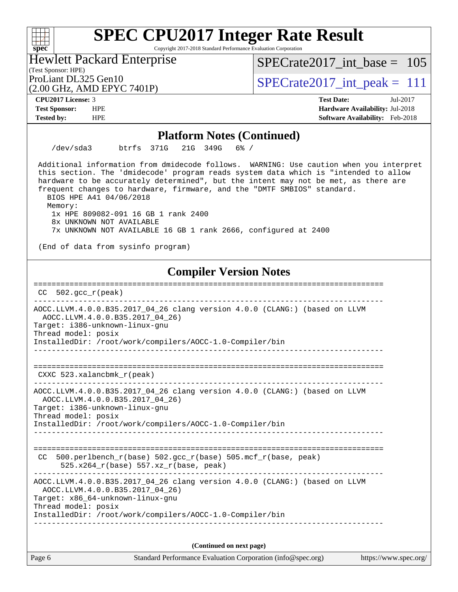Copyright 2017-2018 Standard Performance Evaluation Corporation

Hewlett Packard Enterprise

(Test Sponsor: HPE)

ProLiant DL325 Gen10<br>  $\text{SPECrate2017\_int\_peak} = 111$ [SPECrate2017\\_int\\_base =](http://www.spec.org/auto/cpu2017/Docs/result-fields.html#SPECrate2017intbase) 105

(2.00 GHz, AMD EPYC 7401P)

**[spec](http://www.spec.org/)**

 $+\hskip -1.5pt +\hskip -1.5pt +$ 

**[CPU2017 License:](http://www.spec.org/auto/cpu2017/Docs/result-fields.html#CPU2017License)** 3 **[Test Date:](http://www.spec.org/auto/cpu2017/Docs/result-fields.html#TestDate)** Jul-2017 **[Test Sponsor:](http://www.spec.org/auto/cpu2017/Docs/result-fields.html#TestSponsor)** HPE **[Hardware Availability:](http://www.spec.org/auto/cpu2017/Docs/result-fields.html#HardwareAvailability)** Jul-2018 **[Tested by:](http://www.spec.org/auto/cpu2017/Docs/result-fields.html#Testedby)** HPE **[Software Availability:](http://www.spec.org/auto/cpu2017/Docs/result-fields.html#SoftwareAvailability)** Feb-2018

#### **[Platform Notes \(Continued\)](http://www.spec.org/auto/cpu2017/Docs/result-fields.html#PlatformNotes)**

/dev/sda3 btrfs 371G 21G 349G 6% /

 Additional information from dmidecode follows. WARNING: Use caution when you interpret this section. The 'dmidecode' program reads system data which is "intended to allow hardware to be accurately determined", but the intent may not be met, as there are frequent changes to hardware, firmware, and the "DMTF SMBIOS" standard. BIOS HPE A41 04/06/2018

Memory:

 1x HPE 809082-091 16 GB 1 rank 2400 8x UNKNOWN NOT AVAILABLE

7x UNKNOWN NOT AVAILABLE 16 GB 1 rank 2666, configured at 2400

(End of data from sysinfo program)

### **[Compiler Version Notes](http://www.spec.org/auto/cpu2017/Docs/result-fields.html#CompilerVersionNotes)**

============================================================================== CC 502.gcc\_r(peak) ------------------------------------------------------------------------------ AOCC.LLVM.4.0.0.B35.2017\_04\_26 clang version 4.0.0 (CLANG:) (based on LLVM AOCC.LLVM.4.0.0.B35.2017\_04\_26) Target: i386-unknown-linux-gnu Thread model: posix InstalledDir: /root/work/compilers/AOCC-1.0-Compiler/bin ------------------------------------------------------------------------------ ============================================================================== CXXC 523.xalancbmk\_r(peak) ------------------------------------------------------------------------------ AOCC.LLVM.4.0.0.B35.2017\_04\_26 clang version 4.0.0 (CLANG:) (based on LLVM AOCC.LLVM.4.0.0.B35.2017\_04\_26) Target: i386-unknown-linux-gnu Thread model: posix InstalledDir: /root/work/compilers/AOCC-1.0-Compiler/bin ------------------------------------------------------------------------------ ============================================================================== CC 500.perlbench\_r(base)  $502.\text{gcc_r}$ (base)  $505.\text{mcf_r}$ (base, peak) 525.x264\_r(base) 557.xz\_r(base, peak) ------------------------------------------------------------------------------ AOCC.LLVM.4.0.0.B35.2017\_04\_26 clang version 4.0.0 (CLANG:) (based on LLVM AOCC.LLVM.4.0.0.B35.2017\_04\_26) Target: x86\_64-unknown-linux-gnu Thread model: posix InstalledDir: /root/work/compilers/AOCC-1.0-Compiler/bin ------------------------------------------------------------------------------ **(Continued on next page)**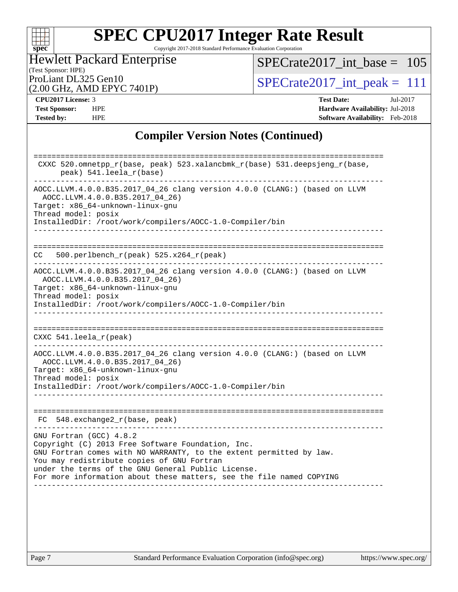

Copyright 2017-2018 Standard Performance Evaluation Corporation

### (Test Sponsor: HPE) Hewlett Packard Enterprise

[SPECrate2017\\_int\\_base =](http://www.spec.org/auto/cpu2017/Docs/result-fields.html#SPECrate2017intbase) 105

(2.00 GHz, AMD EPYC 7401P)

ProLiant DL325 Gen10<br>  $(2.00 \text{ GHz} \cdot \text{AMD FPYC} \cdot 7401\text{P})$   $\text{SPECrate2017\_int\_peak} = 111$ 

**[CPU2017 License:](http://www.spec.org/auto/cpu2017/Docs/result-fields.html#CPU2017License)** 3 **[Test Date:](http://www.spec.org/auto/cpu2017/Docs/result-fields.html#TestDate)** Jul-2017 **[Test Sponsor:](http://www.spec.org/auto/cpu2017/Docs/result-fields.html#TestSponsor)** HPE **[Hardware Availability:](http://www.spec.org/auto/cpu2017/Docs/result-fields.html#HardwareAvailability)** Jul-2018 **[Tested by:](http://www.spec.org/auto/cpu2017/Docs/result-fields.html#Testedby)** HPE **[Software Availability:](http://www.spec.org/auto/cpu2017/Docs/result-fields.html#SoftwareAvailability)** Feb-2018

#### **[Compiler Version Notes \(Continued\)](http://www.spec.org/auto/cpu2017/Docs/result-fields.html#CompilerVersionNotes)**

| CXXC 520.omnetpp_r(base, peak) 523.xalancbmk_r(base) 531.deepsjeng_r(base,<br>peak) 541.leela_r(base)                                                                                                                                                                                                                                                   |
|---------------------------------------------------------------------------------------------------------------------------------------------------------------------------------------------------------------------------------------------------------------------------------------------------------------------------------------------------------|
| AOCC.LLVM.4.0.0.B35.2017_04_26 clang version 4.0.0 (CLANG:) (based on LLVM<br>AOCC.LLVM.4.0.0.B35.2017_04_26)<br>Target: x86_64-unknown-linux-gnu<br>Thread model: posix<br>InstalledDir: /root/work/compilers/AOCC-1.0-Compiler/bin                                                                                                                    |
| $500. perlbench_r (peak) 525.x264_r (peak)$<br>CC.                                                                                                                                                                                                                                                                                                      |
| AOCC.LLVM.4.0.0.B35.2017_04_26 clang version 4.0.0 (CLANG:) (based on LLVM<br>AOCC.LLVM.4.0.0.B35.2017_04_26)<br>Target: x86_64-unknown-linux-gnu<br>Thread model: posix<br>InstalledDir: /root/work/compilers/AOCC-1.0-Compiler/bin                                                                                                                    |
| CXXC $541.$ leela_r(peak)                                                                                                                                                                                                                                                                                                                               |
| AOCC.LLVM.4.0.0.B35.2017_04_26 clang version 4.0.0 (CLANG:) (based on LLVM<br>AOCC.LLVM.4.0.0.B35.2017_04_26)<br>Target: x86_64-unknown-linux-gnu<br>Thread model: posix<br>InstalledDir: /root/work/compilers/AOCC-1.0-Compiler/bin                                                                                                                    |
| $FC$ 548. exchange $2r(base, peak)$                                                                                                                                                                                                                                                                                                                     |
| --------------------<br>GNU Fortran (GCC) 4.8.2<br>Copyright (C) 2013 Free Software Foundation, Inc.<br>GNU Fortran comes with NO WARRANTY, to the extent permitted by law.<br>You may redistribute copies of GNU Fortran<br>under the terms of the GNU General Public License.<br>For more information about these matters, see the file named COPYING |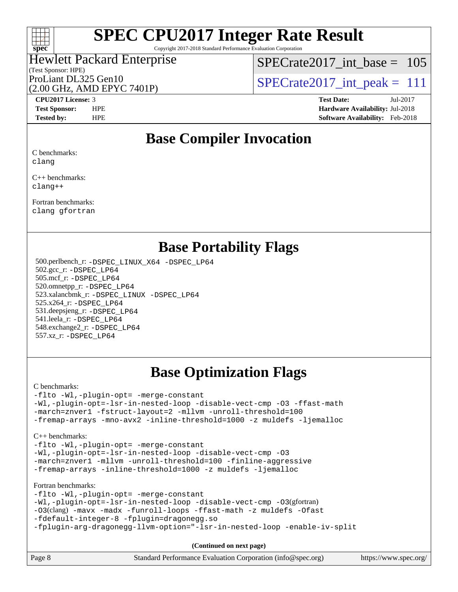

Copyright 2017-2018 Standard Performance Evaluation Corporation

## (Test Sponsor: HPE) Hewlett Packard Enterprise

[SPECrate2017\\_int\\_base =](http://www.spec.org/auto/cpu2017/Docs/result-fields.html#SPECrate2017intbase) 105

(2.00 GHz, AMD EPYC 7401P)

ProLiant DL325 Gen10<br>  $\text{SPECrate2017\_int\_peak} = 111$ 

**[CPU2017 License:](http://www.spec.org/auto/cpu2017/Docs/result-fields.html#CPU2017License)** 3 **[Test Date:](http://www.spec.org/auto/cpu2017/Docs/result-fields.html#TestDate)** Jul-2017 **[Test Sponsor:](http://www.spec.org/auto/cpu2017/Docs/result-fields.html#TestSponsor)** HPE **[Hardware Availability:](http://www.spec.org/auto/cpu2017/Docs/result-fields.html#HardwareAvailability)** Jul-2018 **[Tested by:](http://www.spec.org/auto/cpu2017/Docs/result-fields.html#Testedby)** HPE **[Software Availability:](http://www.spec.org/auto/cpu2017/Docs/result-fields.html#SoftwareAvailability)** Feb-2018

### **[Base Compiler Invocation](http://www.spec.org/auto/cpu2017/Docs/result-fields.html#BaseCompilerInvocation)**

[C benchmarks:](http://www.spec.org/auto/cpu2017/Docs/result-fields.html#Cbenchmarks) [clang](http://www.spec.org/cpu2017/results/res2018q4/cpu2017-20181001-08976.flags.html#user_CCbase_Fclang3)

[C++ benchmarks:](http://www.spec.org/auto/cpu2017/Docs/result-fields.html#CXXbenchmarks) [clang++](http://www.spec.org/cpu2017/results/res2018q4/cpu2017-20181001-08976.flags.html#user_CXXbase_Fclang3_57a48582e5be507d19b2527b3e7d4f85d9b8669ffc9a8a0dbb9bcf949a918a58bbab411e0c4d14a3922022a3e425a90db94042683824c1806feff4324ca1000d)

[Fortran benchmarks](http://www.spec.org/auto/cpu2017/Docs/result-fields.html#Fortranbenchmarks): [clang](http://www.spec.org/cpu2017/results/res2018q4/cpu2017-20181001-08976.flags.html#user_FCbase_Fclang3) [gfortran](http://www.spec.org/cpu2017/results/res2018q4/cpu2017-20181001-08976.flags.html#user_FCbase_gfortran)

### **[Base Portability Flags](http://www.spec.org/auto/cpu2017/Docs/result-fields.html#BasePortabilityFlags)**

 500.perlbench\_r: [-DSPEC\\_LINUX\\_X64](http://www.spec.org/cpu2017/results/res2018q4/cpu2017-20181001-08976.flags.html#b500.perlbench_r_basePORTABILITY_DSPEC_LINUX_X64) [-DSPEC\\_LP64](http://www.spec.org/cpu2017/results/res2018q4/cpu2017-20181001-08976.flags.html#b500.perlbench_r_baseEXTRA_PORTABILITY_DSPEC_LP64) 502.gcc\_r: [-DSPEC\\_LP64](http://www.spec.org/cpu2017/results/res2018q4/cpu2017-20181001-08976.flags.html#suite_baseEXTRA_PORTABILITY502_gcc_r_DSPEC_LP64) 505.mcf\_r: [-DSPEC\\_LP64](http://www.spec.org/cpu2017/results/res2018q4/cpu2017-20181001-08976.flags.html#suite_baseEXTRA_PORTABILITY505_mcf_r_DSPEC_LP64) 520.omnetpp\_r: [-DSPEC\\_LP64](http://www.spec.org/cpu2017/results/res2018q4/cpu2017-20181001-08976.flags.html#suite_baseEXTRA_PORTABILITY520_omnetpp_r_DSPEC_LP64) 523.xalancbmk\_r: [-DSPEC\\_LINUX](http://www.spec.org/cpu2017/results/res2018q4/cpu2017-20181001-08976.flags.html#b523.xalancbmk_r_basePORTABILITY_DSPEC_LINUX) [-DSPEC\\_LP64](http://www.spec.org/cpu2017/results/res2018q4/cpu2017-20181001-08976.flags.html#suite_baseEXTRA_PORTABILITY523_xalancbmk_r_DSPEC_LP64) 525.x264\_r: [-DSPEC\\_LP64](http://www.spec.org/cpu2017/results/res2018q4/cpu2017-20181001-08976.flags.html#suite_baseEXTRA_PORTABILITY525_x264_r_DSPEC_LP64) 531.deepsjeng\_r: [-DSPEC\\_LP64](http://www.spec.org/cpu2017/results/res2018q4/cpu2017-20181001-08976.flags.html#suite_baseEXTRA_PORTABILITY531_deepsjeng_r_DSPEC_LP64) 541.leela\_r: [-DSPEC\\_LP64](http://www.spec.org/cpu2017/results/res2018q4/cpu2017-20181001-08976.flags.html#suite_baseEXTRA_PORTABILITY541_leela_r_DSPEC_LP64) 548.exchange2\_r: [-DSPEC\\_LP64](http://www.spec.org/cpu2017/results/res2018q4/cpu2017-20181001-08976.flags.html#suite_baseEXTRA_PORTABILITY548_exchange2_r_DSPEC_LP64) 557.xz\_r: [-DSPEC\\_LP64](http://www.spec.org/cpu2017/results/res2018q4/cpu2017-20181001-08976.flags.html#suite_baseEXTRA_PORTABILITY557_xz_r_DSPEC_LP64)

## **[Base Optimization Flags](http://www.spec.org/auto/cpu2017/Docs/result-fields.html#BaseOptimizationFlags)**

[C benchmarks](http://www.spec.org/auto/cpu2017/Docs/result-fields.html#Cbenchmarks):

[-flto](http://www.spec.org/cpu2017/results/res2018q4/cpu2017-20181001-08976.flags.html#user_CCbase_F-flto) [-Wl,-plugin-opt=](http://www.spec.org/cpu2017/results/res2018q4/cpu2017-20181001-08976.flags.html#user_CCbase_F-Wl_e2cfa9303fa7177fc979b6ea3ac112b25cc1d9a704f985e64d2c1147a9a124d595124def755438d557d7af0b063540ac9f0d182cc4ce48e282e58f3688f96e17) [-merge-constant](http://www.spec.org/cpu2017/results/res2018q4/cpu2017-20181001-08976.flags.html#user_CCbase_F-merge-constant_bdb3ec75d21d5cf0ab1961ebe7105d0ea3b0c6d89a312cf7efc1d107e6c56c92c36b5d564d0702d1e2526f6b92f188b4413eb5a54b1f9e4a41f5a9bfc0233b92) [-Wl,-plugin-opt=-lsr-in-nested-loop](http://www.spec.org/cpu2017/results/res2018q4/cpu2017-20181001-08976.flags.html#user_CCbase_F-Wl_1cff93fd95162f5e77640b5271e8bed680fb62b4a8d96fb8ab217ff3244646f1fbb342e31af83c263403bbf5249c7dc7732d5c86c3eab4cc8d32dcb7a6f33ca0) [-disable-vect-cmp](http://www.spec.org/cpu2017/results/res2018q4/cpu2017-20181001-08976.flags.html#user_CCbase_F-disable-vect-cmp) [-O3](http://www.spec.org/cpu2017/results/res2018q4/cpu2017-20181001-08976.flags.html#user_CCbase_F-O3) [-ffast-math](http://www.spec.org/cpu2017/results/res2018q4/cpu2017-20181001-08976.flags.html#user_CCbase_F-ffast-math) [-march=znver1](http://www.spec.org/cpu2017/results/res2018q4/cpu2017-20181001-08976.flags.html#user_CCbase_march_082ab2c5e8f99f69c47c63adfdc26f9617958cc68d0b5dbfb7aa6935cde4c91d5d9c2fdc24e6781fa8a0299196f2f4ca8e995f825d797de797910507b4251bb3) [-fstruct-layout=2](http://www.spec.org/cpu2017/results/res2018q4/cpu2017-20181001-08976.flags.html#user_CCbase_F-fstruct-layout_a05ec02e17cdf7fe0c3950a6b005251b2b1e5e67af2b5298cf72714730c3d59ba290e75546b10aa22dac074c15ceaca36ae22c62cb51bcb2fbdc9dc4e7e222c4) [-mllvm](http://www.spec.org/cpu2017/results/res2018q4/cpu2017-20181001-08976.flags.html#user_CCbase_F-mllvm_76e3f86ef8d8cc4dfa84cec42d531db351fee284f72cd5d644b5bdbef9c2604296512be6a431d9e19d0523544399ea9dd745afc2fff755a0705d428460dc659e) [-unroll-threshold=100](http://www.spec.org/cpu2017/results/res2018q4/cpu2017-20181001-08976.flags.html#user_CCbase_F-unroll-threshold) [-fremap-arrays](http://www.spec.org/cpu2017/results/res2018q4/cpu2017-20181001-08976.flags.html#user_CCbase_F-fremap-arrays) [-mno-avx2](http://www.spec.org/cpu2017/results/res2018q4/cpu2017-20181001-08976.flags.html#user_CCbase_F-mno-avx2) [-inline-threshold=1000](http://www.spec.org/cpu2017/results/res2018q4/cpu2017-20181001-08976.flags.html#user_CCbase_F-inline-threshold_1daf3e0321a7a0c1ea19068c818f3f119b1e5dfc986cc791557791f4b93536c1546ba0c8585f62303269f504aa232e0ca278e8489928152e32e0752215741730) [-z muldefs](http://www.spec.org/cpu2017/results/res2018q4/cpu2017-20181001-08976.flags.html#user_CCbase_zmuldefs) [-ljemalloc](http://www.spec.org/cpu2017/results/res2018q4/cpu2017-20181001-08976.flags.html#user_CCbase_F-ljemalloc)

[C++ benchmarks:](http://www.spec.org/auto/cpu2017/Docs/result-fields.html#CXXbenchmarks)

[-flto](http://www.spec.org/cpu2017/results/res2018q4/cpu2017-20181001-08976.flags.html#user_CXXbase_F-flto) [-Wl,-plugin-opt=](http://www.spec.org/cpu2017/results/res2018q4/cpu2017-20181001-08976.flags.html#user_CXXbase_F-Wl_e2cfa9303fa7177fc979b6ea3ac112b25cc1d9a704f985e64d2c1147a9a124d595124def755438d557d7af0b063540ac9f0d182cc4ce48e282e58f3688f96e17) [-merge-constant](http://www.spec.org/cpu2017/results/res2018q4/cpu2017-20181001-08976.flags.html#user_CXXbase_F-merge-constant_bdb3ec75d21d5cf0ab1961ebe7105d0ea3b0c6d89a312cf7efc1d107e6c56c92c36b5d564d0702d1e2526f6b92f188b4413eb5a54b1f9e4a41f5a9bfc0233b92) [-Wl,-plugin-opt=-lsr-in-nested-loop](http://www.spec.org/cpu2017/results/res2018q4/cpu2017-20181001-08976.flags.html#user_CXXbase_F-Wl_1cff93fd95162f5e77640b5271e8bed680fb62b4a8d96fb8ab217ff3244646f1fbb342e31af83c263403bbf5249c7dc7732d5c86c3eab4cc8d32dcb7a6f33ca0) [-disable-vect-cmp](http://www.spec.org/cpu2017/results/res2018q4/cpu2017-20181001-08976.flags.html#user_CXXbase_F-disable-vect-cmp) [-O3](http://www.spec.org/cpu2017/results/res2018q4/cpu2017-20181001-08976.flags.html#user_CXXbase_F-O3) [-march=znver1](http://www.spec.org/cpu2017/results/res2018q4/cpu2017-20181001-08976.flags.html#user_CXXbase_march_082ab2c5e8f99f69c47c63adfdc26f9617958cc68d0b5dbfb7aa6935cde4c91d5d9c2fdc24e6781fa8a0299196f2f4ca8e995f825d797de797910507b4251bb3) [-mllvm](http://www.spec.org/cpu2017/results/res2018q4/cpu2017-20181001-08976.flags.html#user_CXXbase_F-mllvm_76e3f86ef8d8cc4dfa84cec42d531db351fee284f72cd5d644b5bdbef9c2604296512be6a431d9e19d0523544399ea9dd745afc2fff755a0705d428460dc659e) [-unroll-threshold=100](http://www.spec.org/cpu2017/results/res2018q4/cpu2017-20181001-08976.flags.html#user_CXXbase_F-unroll-threshold) [-finline-aggressive](http://www.spec.org/cpu2017/results/res2018q4/cpu2017-20181001-08976.flags.html#user_CXXbase_F-finline-aggressive) [-fremap-arrays](http://www.spec.org/cpu2017/results/res2018q4/cpu2017-20181001-08976.flags.html#user_CXXbase_F-fremap-arrays) [-inline-threshold=1000](http://www.spec.org/cpu2017/results/res2018q4/cpu2017-20181001-08976.flags.html#user_CXXbase_F-inline-threshold_1daf3e0321a7a0c1ea19068c818f3f119b1e5dfc986cc791557791f4b93536c1546ba0c8585f62303269f504aa232e0ca278e8489928152e32e0752215741730) [-z muldefs](http://www.spec.org/cpu2017/results/res2018q4/cpu2017-20181001-08976.flags.html#user_CXXbase_zmuldefs) [-ljemalloc](http://www.spec.org/cpu2017/results/res2018q4/cpu2017-20181001-08976.flags.html#user_CXXbase_F-ljemalloc)

[Fortran benchmarks](http://www.spec.org/auto/cpu2017/Docs/result-fields.html#Fortranbenchmarks):

[-flto](http://www.spec.org/cpu2017/results/res2018q4/cpu2017-20181001-08976.flags.html#user_FCbase_F-flto) [-Wl,-plugin-opt=](http://www.spec.org/cpu2017/results/res2018q4/cpu2017-20181001-08976.flags.html#user_FCbase_F-Wl_e2cfa9303fa7177fc979b6ea3ac112b25cc1d9a704f985e64d2c1147a9a124d595124def755438d557d7af0b063540ac9f0d182cc4ce48e282e58f3688f96e17) [-merge-constant](http://www.spec.org/cpu2017/results/res2018q4/cpu2017-20181001-08976.flags.html#user_FCbase_F-merge-constant_bdb3ec75d21d5cf0ab1961ebe7105d0ea3b0c6d89a312cf7efc1d107e6c56c92c36b5d564d0702d1e2526f6b92f188b4413eb5a54b1f9e4a41f5a9bfc0233b92) [-Wl,-plugin-opt=-lsr-in-nested-loop](http://www.spec.org/cpu2017/results/res2018q4/cpu2017-20181001-08976.flags.html#user_FCbase_F-Wl_1cff93fd95162f5e77640b5271e8bed680fb62b4a8d96fb8ab217ff3244646f1fbb342e31af83c263403bbf5249c7dc7732d5c86c3eab4cc8d32dcb7a6f33ca0) [-disable-vect-cmp](http://www.spec.org/cpu2017/results/res2018q4/cpu2017-20181001-08976.flags.html#user_FCbase_F-disable-vect-cmp) [-O3](http://www.spec.org/cpu2017/results/res2018q4/cpu2017-20181001-08976.flags.html#user_FCbase_Olevel-gcc_2a8c613e11e2962ae78d693398304d6f1c12fa10320380cff05dd109643c60bb04214353a55f02d8022371d19f6dd940085da69c3a4516b2b7029e64f867e782)(gfortran) [-O3](http://www.spec.org/cpu2017/results/res2018q4/cpu2017-20181001-08976.flags.html#user_FCbase_F-O3)(clang) [-mavx](http://www.spec.org/cpu2017/results/res2018q4/cpu2017-20181001-08976.flags.html#user_FCbase_F-mavx) [-madx](http://www.spec.org/cpu2017/results/res2018q4/cpu2017-20181001-08976.flags.html#user_FCbase_F-madx) [-funroll-loops](http://www.spec.org/cpu2017/results/res2018q4/cpu2017-20181001-08976.flags.html#user_FCbase_F-funroll-loops) [-ffast-math](http://www.spec.org/cpu2017/results/res2018q4/cpu2017-20181001-08976.flags.html#user_FCbase_F-ffast-math) [-z muldefs](http://www.spec.org/cpu2017/results/res2018q4/cpu2017-20181001-08976.flags.html#user_FCbase_zmuldefs) [-Ofast](http://www.spec.org/cpu2017/results/res2018q4/cpu2017-20181001-08976.flags.html#user_FCbase_F-Ofast) [-fdefault-integer-8](http://www.spec.org/cpu2017/results/res2018q4/cpu2017-20181001-08976.flags.html#user_FCbase_F-fdefault-integer-8) [-fplugin=dragonegg.so](http://www.spec.org/cpu2017/results/res2018q4/cpu2017-20181001-08976.flags.html#user_FCbase_fplugin_58c2a63f89003737c9fd803d0c3796dc72d5241339c21541e40b94820d6cd0cfe16967716335872d62513842fcd74342ff6b09f66685f00172b97f92c3a7df41) [-fplugin-arg-dragonegg-llvm-option="-lsr-in-nested-loop](http://www.spec.org/cpu2017/results/res2018q4/cpu2017-20181001-08976.flags.html#user_FCbase_F-fplugin-arg-dragonegg-llvm-option_03d3649371f1e7129ec37fc36f9ae5313a04340ad2c91305f318da2e8ae955c23c2c4dea97ae4d11e2ba5486ae4cfcea3c5152eb672cb5457c40e78103474b9a) [-enable-iv-split](http://www.spec.org/cpu2017/results/res2018q4/cpu2017-20181001-08976.flags.html#user_FCbase_F-enable-iv-split)

**(Continued on next page)**

| Page 8<br>Standard Performance Evaluation Corporation (info@spec.org)<br>https://www.spec.org/ |  |
|------------------------------------------------------------------------------------------------|--|
|------------------------------------------------------------------------------------------------|--|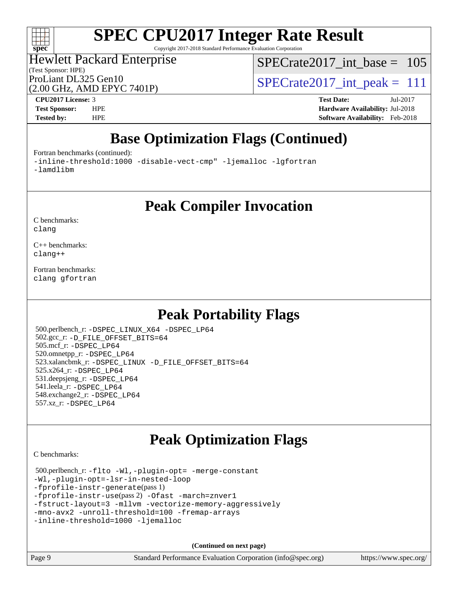

Copyright 2017-2018 Standard Performance Evaluation Corporation

#### (Test Sponsor: HPE) Hewlett Packard Enterprise

[SPECrate2017\\_int\\_base =](http://www.spec.org/auto/cpu2017/Docs/result-fields.html#SPECrate2017intbase) 105

(2.00 GHz, AMD EPYC 7401P)

ProLiant DL325 Gen10<br>  $\text{SPECrate2017\_int\_peak} = 111$ 

**[CPU2017 License:](http://www.spec.org/auto/cpu2017/Docs/result-fields.html#CPU2017License)** 3 **[Test Date:](http://www.spec.org/auto/cpu2017/Docs/result-fields.html#TestDate)** Jul-2017 **[Test Sponsor:](http://www.spec.org/auto/cpu2017/Docs/result-fields.html#TestSponsor)** HPE **[Hardware Availability:](http://www.spec.org/auto/cpu2017/Docs/result-fields.html#HardwareAvailability)** Jul-2018 **[Tested by:](http://www.spec.org/auto/cpu2017/Docs/result-fields.html#Testedby)** HPE **[Software Availability:](http://www.spec.org/auto/cpu2017/Docs/result-fields.html#SoftwareAvailability)** Feb-2018

# **[Base Optimization Flags \(Continued\)](http://www.spec.org/auto/cpu2017/Docs/result-fields.html#BaseOptimizationFlags)**

[Fortran benchmarks](http://www.spec.org/auto/cpu2017/Docs/result-fields.html#Fortranbenchmarks) (continued):

[-inline-threshold:1000](http://www.spec.org/cpu2017/results/res2018q4/cpu2017-20181001-08976.flags.html#user_FCbase_F-dragonegg-llvm-inline-threshold_aa239847abba08b4fba7c30a23f09e702847eca9c932ccbab9b5a98e59cdcbf3c2e1c25e08a0c44d3e4949b21c0afb0ca84a2f3587da11db66c46a8d7dd698b3) [-disable-vect-cmp"](http://www.spec.org/cpu2017/results/res2018q4/cpu2017-20181001-08976.flags.html#user_FCbase_F-dragonegg-llvm-disable-vect-cmp_6cf351a29613b68bfdbd040d3e22ab0ce250093fe1c4f1b0b3e19cc513bf9fe59893782c14402abfbebd018ed2d47d139a1a3c59a802b3eac454540228820b23) [-ljemalloc](http://www.spec.org/cpu2017/results/res2018q4/cpu2017-20181001-08976.flags.html#user_FCbase_F-ljemalloc) [-lgfortran](http://www.spec.org/cpu2017/results/res2018q4/cpu2017-20181001-08976.flags.html#user_FCbase_F-lgfortran_aee53aa7918ae35ea4e5035d616421204ae8a638c05873868b1aa8743e73ef3f738c1d9cddaea8bce7f96e18015ec2f72d6588008f90a113075c46bd34a5e3c3)  [-lamdlibm](http://www.spec.org/cpu2017/results/res2018q4/cpu2017-20181001-08976.flags.html#user_FCbase_F-lamdlibm_1db3d84841b8a1b4efe9441895380ccb52ec69ae4c885fce609f880d1f58d8b3c2693ad984247faf1d5c0b0abc492f2987ed2911d4dbfc830003ff87fe5a2273) 

**[Peak Compiler Invocation](http://www.spec.org/auto/cpu2017/Docs/result-fields.html#PeakCompilerInvocation)**

[C benchmarks](http://www.spec.org/auto/cpu2017/Docs/result-fields.html#Cbenchmarks): [clang](http://www.spec.org/cpu2017/results/res2018q4/cpu2017-20181001-08976.flags.html#user_CCpeak_Fclang3)

[C++ benchmarks:](http://www.spec.org/auto/cpu2017/Docs/result-fields.html#CXXbenchmarks) [clang++](http://www.spec.org/cpu2017/results/res2018q4/cpu2017-20181001-08976.flags.html#user_CXXpeak_Fclang3_57a48582e5be507d19b2527b3e7d4f85d9b8669ffc9a8a0dbb9bcf949a918a58bbab411e0c4d14a3922022a3e425a90db94042683824c1806feff4324ca1000d)

[Fortran benchmarks](http://www.spec.org/auto/cpu2017/Docs/result-fields.html#Fortranbenchmarks): [clang](http://www.spec.org/cpu2017/results/res2018q4/cpu2017-20181001-08976.flags.html#user_FCpeak_Fclang3) [gfortran](http://www.spec.org/cpu2017/results/res2018q4/cpu2017-20181001-08976.flags.html#user_FCpeak_gfortran)

### **[Peak Portability Flags](http://www.spec.org/auto/cpu2017/Docs/result-fields.html#PeakPortabilityFlags)**

 500.perlbench\_r: [-DSPEC\\_LINUX\\_X64](http://www.spec.org/cpu2017/results/res2018q4/cpu2017-20181001-08976.flags.html#b500.perlbench_r_peakPORTABILITY_DSPEC_LINUX_X64) [-DSPEC\\_LP64](http://www.spec.org/cpu2017/results/res2018q4/cpu2017-20181001-08976.flags.html#b500.perlbench_r_peakEXTRA_PORTABILITY_DSPEC_LP64) 502.gcc\_r: [-D\\_FILE\\_OFFSET\\_BITS=64](http://www.spec.org/cpu2017/results/res2018q4/cpu2017-20181001-08976.flags.html#user_peakEXTRA_PORTABILITY502_gcc_r_F-D_FILE_OFFSET_BITS:64) 505.mcf\_r: [-DSPEC\\_LP64](http://www.spec.org/cpu2017/results/res2018q4/cpu2017-20181001-08976.flags.html#suite_peakEXTRA_PORTABILITY505_mcf_r_DSPEC_LP64) 520.omnetpp\_r: [-DSPEC\\_LP64](http://www.spec.org/cpu2017/results/res2018q4/cpu2017-20181001-08976.flags.html#suite_peakEXTRA_PORTABILITY520_omnetpp_r_DSPEC_LP64) 523.xalancbmk\_r: [-DSPEC\\_LINUX](http://www.spec.org/cpu2017/results/res2018q4/cpu2017-20181001-08976.flags.html#b523.xalancbmk_r_peakPORTABILITY_DSPEC_LINUX) [-D\\_FILE\\_OFFSET\\_BITS=64](http://www.spec.org/cpu2017/results/res2018q4/cpu2017-20181001-08976.flags.html#user_peakEXTRA_PORTABILITY523_xalancbmk_r_F-D_FILE_OFFSET_BITS:64) 525.x264\_r: [-DSPEC\\_LP64](http://www.spec.org/cpu2017/results/res2018q4/cpu2017-20181001-08976.flags.html#suite_peakEXTRA_PORTABILITY525_x264_r_DSPEC_LP64) 531.deepsjeng\_r: [-DSPEC\\_LP64](http://www.spec.org/cpu2017/results/res2018q4/cpu2017-20181001-08976.flags.html#suite_peakEXTRA_PORTABILITY531_deepsjeng_r_DSPEC_LP64) 541.leela\_r: [-DSPEC\\_LP64](http://www.spec.org/cpu2017/results/res2018q4/cpu2017-20181001-08976.flags.html#suite_peakEXTRA_PORTABILITY541_leela_r_DSPEC_LP64) 548.exchange2\_r: [-DSPEC\\_LP64](http://www.spec.org/cpu2017/results/res2018q4/cpu2017-20181001-08976.flags.html#suite_peakEXTRA_PORTABILITY548_exchange2_r_DSPEC_LP64) 557.xz\_r: [-DSPEC\\_LP64](http://www.spec.org/cpu2017/results/res2018q4/cpu2017-20181001-08976.flags.html#suite_peakEXTRA_PORTABILITY557_xz_r_DSPEC_LP64)

## **[Peak Optimization Flags](http://www.spec.org/auto/cpu2017/Docs/result-fields.html#PeakOptimizationFlags)**

[C benchmarks](http://www.spec.org/auto/cpu2017/Docs/result-fields.html#Cbenchmarks):

```
 500.perlbench_r: -flto -Wl,-plugin-opt= -merge-constant
-Wl,-plugin-opt=-lsr-in-nested-loop
-fprofile-instr-generate(pass 1)
-fprofile-instr-use(pass 2) -Ofast -march=znver1
-fstruct-layout=3 -mllvm -vectorize-memory-aggressively
-mno-avx2 -unroll-threshold=100 -fremap-arrays
-inline-threshold=1000 -ljemalloc
```
**(Continued on next page)**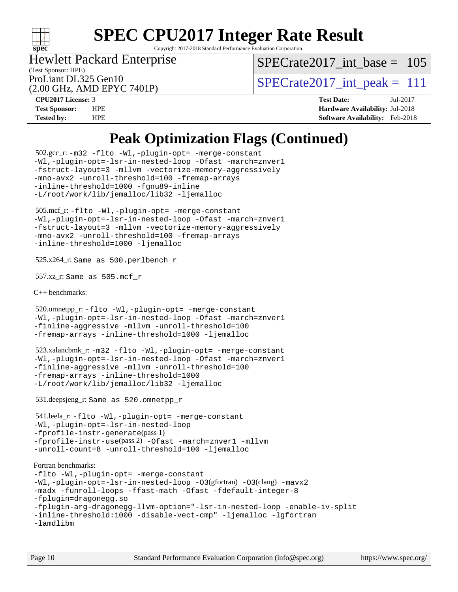

Copyright 2017-2018 Standard Performance Evaluation Corporation

(Test Sponsor: HPE) Hewlett Packard Enterprise

[SPECrate2017\\_int\\_base =](http://www.spec.org/auto/cpu2017/Docs/result-fields.html#SPECrate2017intbase) 105

(2.00 GHz, AMD EPYC 7401P)

ProLiant DL325 Gen10<br>  $\text{SPECrate2017\_int\_peak} = 111$ 

**[CPU2017 License:](http://www.spec.org/auto/cpu2017/Docs/result-fields.html#CPU2017License)** 3 **[Test Date:](http://www.spec.org/auto/cpu2017/Docs/result-fields.html#TestDate)** Jul-2017 **[Test Sponsor:](http://www.spec.org/auto/cpu2017/Docs/result-fields.html#TestSponsor)** HPE **[Hardware Availability:](http://www.spec.org/auto/cpu2017/Docs/result-fields.html#HardwareAvailability)** Jul-2018 **[Tested by:](http://www.spec.org/auto/cpu2017/Docs/result-fields.html#Testedby)** HPE **[Software Availability:](http://www.spec.org/auto/cpu2017/Docs/result-fields.html#SoftwareAvailability)** Feb-2018

### **[Peak Optimization Flags \(Continued\)](http://www.spec.org/auto/cpu2017/Docs/result-fields.html#PeakOptimizationFlags)**

```
 502.gcc_r: -m32 -flto -Wl,-plugin-opt= -merge-constant
-Wl,-plugin-opt=-lsr-in-nested-loop -Ofast -march=znver1
-fstruct-layout=3 -mllvm -vectorize-memory-aggressively
-mno-avx2 -unroll-threshold=100 -fremap-arrays
-inline-threshold=1000 -fgnu89-inline
-L/root/work/lib/jemalloc/lib32 -ljemalloc
 505.mcf_r: -flto -Wl,-plugin-opt= -merge-constant
-Wl,-plugin-opt=-lsr-in-nested-loop -Ofast -march=znver1
-fstruct-layout=3 -mllvm -vectorize-memory-aggressively
-mno-avx2 -unroll-threshold=100 -fremap-arrays
-inline-threshold=1000 -ljemalloc
 525.x264_r: Same as 500.perlbench_r
 557.xz_r: Same as 505.mcf_r
C++ benchmarks: 
 520.omnetpp_r: -flto -Wl,-plugin-opt= -merge-constant
-Wl,-plugin-opt=-lsr-in-nested-loop -Ofast -march=znver1
-finline-aggressive -mllvm -unroll-threshold=100
-fremap-arrays -inline-threshold=1000 -ljemalloc
 523.xalancbmk_r: -m32 -flto -Wl,-plugin-opt= -merge-constant
-Wl,-plugin-opt=-lsr-in-nested-loop -Ofast -march=znver1
-finline-aggressive -mllvm -unroll-threshold=100
-fremap-arrays -inline-threshold=1000
-L/root/work/lib/jemalloc/lib32 -ljemalloc
 531.deepsjeng_r: Same as 520.omnetpp_r
 541.leela_r: -flto -Wl,-plugin-opt= -merge-constant
-Wl,-plugin-opt=-lsr-in-nested-loop
-fprofile-instr-generate(pass 1)
-fprofile-instr-use(pass 2) -Ofast -march=znver1 -mllvm
-unroll-count=8 -unroll-threshold=100 -ljemalloc
Fortran benchmarks: 
-flto -Wl,-plugin-opt= -merge-constant
-Wl,-plugin-opt=-lsr-in-nested-loop -O3(gfortran) -O3(clang) -mavx2
-madx -funroll-loops -ffast-math -Ofast -fdefault-integer-8
-fplugin=dragonegg.so
-fplugin-arg-dragonegg-llvm-option="-lsr-in-nested-loop -enable-iv-split
-inline-threshold:1000 -disable-vect-cmp" -ljemalloc -lgfortran 
-lamdlibm
```